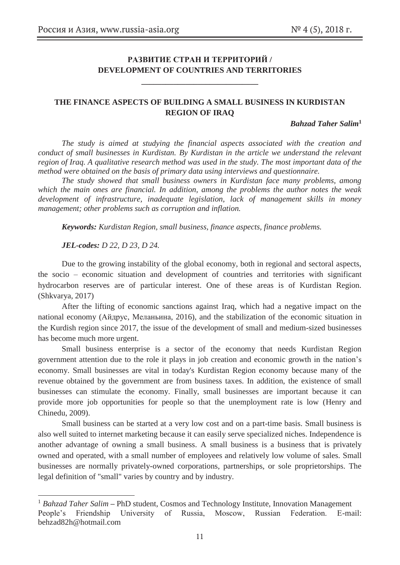# **РАЗВИТИЕ СТРАН И ТЕРРИТОРИЙ / DEVELOPMENT OF COUNTRIES AND TERRITORIES**

**\_\_\_\_\_\_\_\_\_\_\_\_\_\_\_\_\_\_\_\_\_\_\_\_\_\_\_\_\_** 

### **THE FINANCE ASPECTS OF BUILDING A SMALL BUSINESS IN KURDISTAN REGION OF IRAQ**

*Bahzad Taher Salim***1** 

*The study is aimed at studying the financial aspects associated with the creation and conduct of small businesses in Kurdistan. By Kurdistan in the article we understand the relevant region of Iraq. A qualitative research method was used in the study. The most important data of the method were obtained on the basis of primary data using interviews and questionnaire.* 

*The study showed that small business owners in Kurdistan face many problems, among which the main ones are financial. In addition, among the problems the author notes the weak development of infrastructure, inadequate legislation, lack of management skills in money management; other problems such as corruption and inflation.* 

*Keywords: Kurdistan Region, small business, finance aspects, finance problems.* 

*JEL-codes: D 22, D 23, D 24.* 

-

Due to the growing instability of the global economy, both in regional and sectoral aspects, the socio – economic situation and development of countries and territories with significant hydrocarbon reserves are of particular interest. One of these areas is of Kurdistan Region. (Shkvarya, 2017)

After the lifting of economic sanctions against Iraq, which had a negative impact on the national economy (Айдрус, Меланьина, 2016), and the stabilization of the economic situation in the Kurdish region since 2017, the issue of the development of small and medium-sized businesses has become much more urgent.

Small business enterprise is a sector of the economy that needs Kurdistan Region government attention due to the role it plays in job creation and economic growth in the nation's economy. Small businesses are vital in today's Kurdistan Region economy because many of the revenue obtained by the government are from business taxes. In addition, the existence of small businesses can stimulate the economy. Finally, small businesses are important because it can provide more job opportunities for people so that the unemployment rate is low (Henry and Chinedu, 2009).

Small business can be started at a very low cost and on a part-time basis. Small business is also well suited to internet marketing because it can easily serve specialized niches. Independence is another advantage of owning a small business. A small business is a business that is privately owned and operated, with a small number of employees and relatively low volume of sales. Small businesses are normally privately-owned corporations, partnerships, or sole proprietorships. The legal definition of "small" varies by country and by industry.

<sup>&</sup>lt;sup>1</sup> *Bahzad Taher Salim* – PhD student, Cosmos and Technology Institute, Innovation Management People's Friendship University of Russia, Moscow, Russian Federation. E-mail: behzad82h@hotmail.com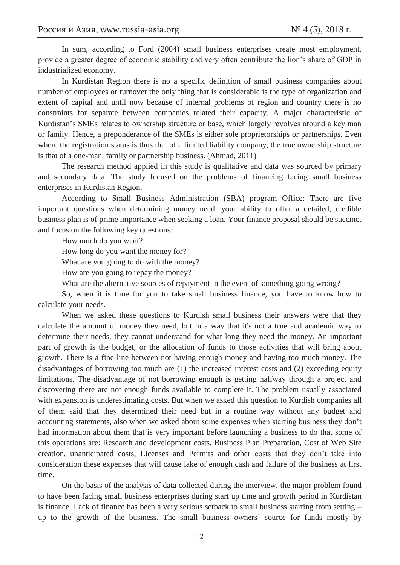In sum, according to Ford (2004) small business enterprises create most employment, provide a greater degree of economic stability and very often contribute the lion's share of GDP in industrialized economy.

In Kurdistan Region there is no a specific definition of small business companies about number of employees or turnover the only thing that is considerable is the type of organization and extent of capital and until now because of internal problems of region and country there is no constraints for separate between companies related their capacity. A major characteristic of Kurdistan's SMEs relates to ownership structure or base, which largely revolves around a key man or family. Hence, a preponderance of the SMEs is either sole proprietorships or partnerships. Even where the registration status is thus that of a limited liability company, the true ownership structure is that of a one-man, family or partnership business. (Ahmad, 2011)

The research method applied in this study is qualitative and data was sourced by primary and secondary data. The study focused on the problems of financing facing small business enterprises in Kurdistan Region.

According to Small Business Administration (SBA) program Office: There are five important questions when determining money need, your ability to offer a detailed, credible business plan is of prime importance when seeking a loan. Your finance proposal should be succinct and focus on the following key questions:

How much do you want?

How long do you want the money for?

What are you going to do with the money?

How are you going to repay the money?

What are the alternative sources of repayment in the event of something going wrong?

So, when it is time for you to take small business finance, you have to know how to calculate your needs.

When we asked these questions to Kurdish small business their answers were that they calculate the amount of money they need, but in a way that it's not a true and academic way to determine their needs, they cannot understand for what long they need the money. An important part of growth is the budget, or the allocation of funds to those activities that will bring about growth. There is a fine line between not having enough money and having too much money. The disadvantages of borrowing too much are (1) the increased interest costs and (2) exceeding equity limitations. The disadvantage of not borrowing enough is getting halfway through a project and discovering there are not enough funds available to complete it. The problem usually associated with expansion is underestimating costs. But when we asked this question to Kurdish companies all of them said that they determined their need but in a routine way without any budget and accounting statements, also when we asked about some expenses when starting business they don't had information about them that is very important before launching a business to do that some of this operations are: Research and development costs, Business Plan Preparation, Cost of Web Site creation, unanticipated costs, Licenses and Permits and other costs that they don't take into consideration these expenses that will cause lake of enough cash and failure of the business at first time.

On the basis of the analysis of data collected during the interview, the major problem found to have been facing small business enterprises during start up time and growth period in Kurdistan is finance. Lack of finance has been a very serious setback to small business starting from setting – up to the growth of the business. The small business owners' source for funds mostly by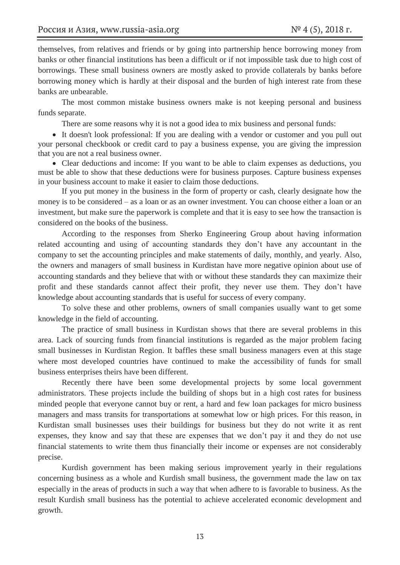themselves, from relatives and friends or by going into partnership hence borrowing money from banks or other financial institutions has been a difficult or if not impossible task due to high cost of borrowings. These small business owners are mostly asked to provide collaterals by banks before borrowing money which is hardly at their disposal and the burden of high interest rate from these banks are unbearable.

The most common mistake business owners make is not keeping personal and business funds separate.

There are some reasons why it is not a good idea to mix business and personal funds:

• It doesn't look professional: If you are dealing with a vendor or customer and you pull out your personal checkbook or credit card to pay a business expense, you are giving the impression that you are not a real business owner.

• Clear deductions and income: If you want to be able to claim expenses as deductions, you must be able to show that these deductions were for business purposes. Capture business expenses in your business account to make it easier to claim those deductions.

If you put money in the business in the form of property or cash, clearly designate how the money is to be considered – as a loan or as an owner investment. You can choose either a loan or an investment, but make sure the paperwork is complete and that it is easy to see how the transaction is considered on the books of the business.

According to the responses from Sherko Engineering Group about having information related accounting and using of accounting standards they don't have any accountant in the company to set the accounting principles and make statements of daily, monthly, and yearly. Also, the owners and managers of small business in Kurdistan have more negative opinion about use of accounting standards and they believe that with or without these standards they can maximize their profit and these standards cannot affect their profit, they never use them. They don't have knowledge about accounting standards that is useful for success of every company.

To solve these and other problems, owners of small companies usually want to get some knowledge in the field of accounting.

The practice of small business in Kurdistan shows that there are several problems in this area. Lack of sourcing funds from financial institutions is regarded as the major problem facing small businesses in Kurdistan Region. It baffles these small business managers even at this stage where most developed countries have continued to make the accessibility of funds for small business enterprises theirs have been different.

Recently there have been some developmental projects by some local government administrators. These projects include the building of shops but in a high cost rates for business minded people that everyone cannot buy or rent, a hard and few loan packages for micro business managers and mass transits for transportations at somewhat low or high prices. For this reason, in Kurdistan small businesses uses their buildings for business but they do not write it as rent expenses, they know and say that these are expenses that we don't pay it and they do not use financial statements to write them thus financially their income or expenses are not considerably precise.

Kurdish government has been making serious improvement yearly in their regulations concerning business as a whole and Kurdish small business, the government made the law on tax especially in the areas of products in such a way that when adhere to is favorable to business. As the result Kurdish small business has the potential to achieve accelerated economic development and growth.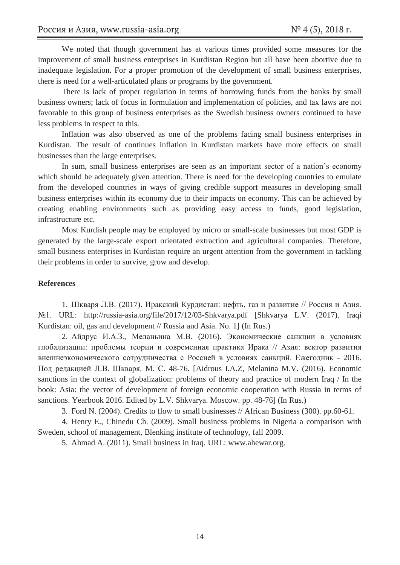We noted that though government has at various times provided some measures for the improvement of small business enterprises in Kurdistan Region but all have been abortive due to inadequate legislation. For a proper promotion of the development of small business enterprises, there is need for a well-articulated plans or programs by the government.

There is lack of proper regulation in terms of borrowing funds from the banks by small business owners; lack of focus in formulation and implementation of policies, and tax laws are not favorable to this group of business enterprises as the Swedish business owners continued to have less problems in respect to this.

Inflation was also observed as one of the problems facing small business enterprises in Kurdistan. The result of continues inflation in Kurdistan markets have more effects on small businesses than the large enterprises.

In sum, small business enterprises are seen as an important sector of a nation's economy which should be adequately given attention. There is need for the developing countries to emulate from the developed countries in ways of giving credible support measures in developing small business enterprises within its economy due to their impacts on economy. This can be achieved by creating enabling environments such as providing easy access to funds, good legislation, infrastructure etc.

Most Kurdish people may be employed by micro or small-scale businesses but most GDP is generated by the large-scale export orientated extraction and agricultural companies. Therefore, small business enterprises in Kurdistan require an urgent attention from the government in tackling their problems in order to survive, grow and develop.

#### **References**

1. Шкваря Л.В. (2017). Иракский Курдистан: нефть, газ и развитие // Россия и Азия. №1. URL: http://russia-asia.org/file/2017/12/03-Shkvarya.pdf [Shkvarya L.V. (2017). Iraqi Kurdistan: oil, gas and development // Russia and Asia. No. 1] (In Rus.)

2. Айдрус И.А.З., Меланьина М.В. (2016). Экономические санкции в условиях глобализации: проблемы теории и современная практика Ирака // Азия: вектор развития внешнеэкономического сотрудничества с Россией в условиях санкций. Ежегодник - 2016. Под редакцией Л.В. Шкваря. М. С. 48-76. [Aidrous I.A.Z, Melanina M.V. (2016). Economic sanctions in the context of globalization: problems of theory and practice of modern Iraq / In the book: Asia: the vector of development of foreign economic cooperation with Russia in terms of sanctions. Yearbook 2016. Edited by L.V. Shkvarya. Moscow. pp. 48-76] (In Rus.)

3. Ford N. (2004). Credits to flow to small businesses // African Business (300). pp.60-61.

4. Henry E., Chinedu Ch. (2009). Small business problems in Nigeria a comparison with Sweden, school of management, Blenking institute of technology, fall 2009.

5. Ahmad A. (2011). Small business in Iraq. URL: www.ahewar.org.